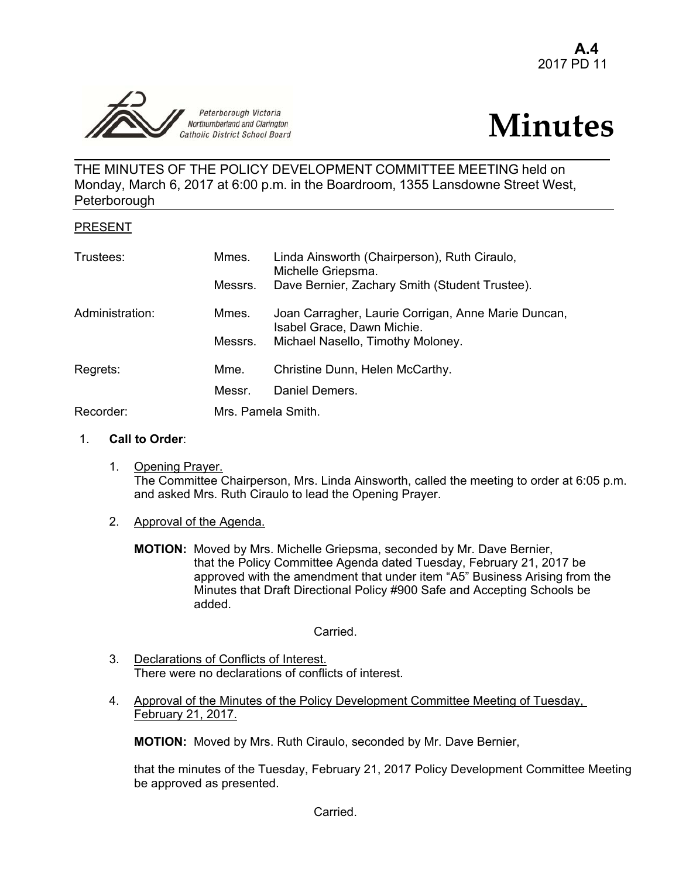



THE MINUTES OF THE POLICY DEVELOPMENT COMMITTEE MEETING held on Monday, March 6, 2017 at 6:00 p.m. in the Boardroom, 1355 Lansdowne Street West, **Peterborough** 

## PRESENT

| Trustees:       | Mmes.   | Linda Ainsworth (Chairperson), Ruth Ciraulo,<br>Michelle Griepsma.                |  |
|-----------------|---------|-----------------------------------------------------------------------------------|--|
|                 | Messrs. | Dave Bernier, Zachary Smith (Student Trustee).                                    |  |
| Administration: | Mmes.   | Joan Carragher, Laurie Corrigan, Anne Marie Duncan,<br>Isabel Grace, Dawn Michie. |  |
|                 | Messrs. | Michael Nasello, Timothy Moloney.                                                 |  |
| Regrets:        | Mme.    | Christine Dunn, Helen McCarthy.                                                   |  |
|                 | Messr.  | Daniel Demers.                                                                    |  |
| Recorder:       |         | Mrs. Pamela Smith.                                                                |  |

## 1. **Call to Order**:

- 1. Opening Prayer. The Committee Chairperson, Mrs. Linda Ainsworth, called the meeting to order at 6:05 p.m. and asked Mrs. Ruth Ciraulo to lead the Opening Prayer.
- 2. Approval of the Agenda.
	- **MOTION:** Moved by Mrs. Michelle Griepsma, seconded by Mr. Dave Bernier, that the Policy Committee Agenda dated Tuesday, February 21, 2017 be approved with the amendment that under item "A5" Business Arising from the Minutes that Draft Directional Policy #900 Safe and Accepting Schools be added.

Carried.

- 3. Declarations of Conflicts of Interest. There were no declarations of conflicts of interest.
- 4. Approval of the Minutes of the Policy Development Committee Meeting of Tuesday, February 21, 2017.

**MOTION:** Moved by Mrs. Ruth Ciraulo, seconded by Mr. Dave Bernier,

 that the minutes of the Tuesday, February 21, 2017 Policy Development Committee Meeting be approved as presented.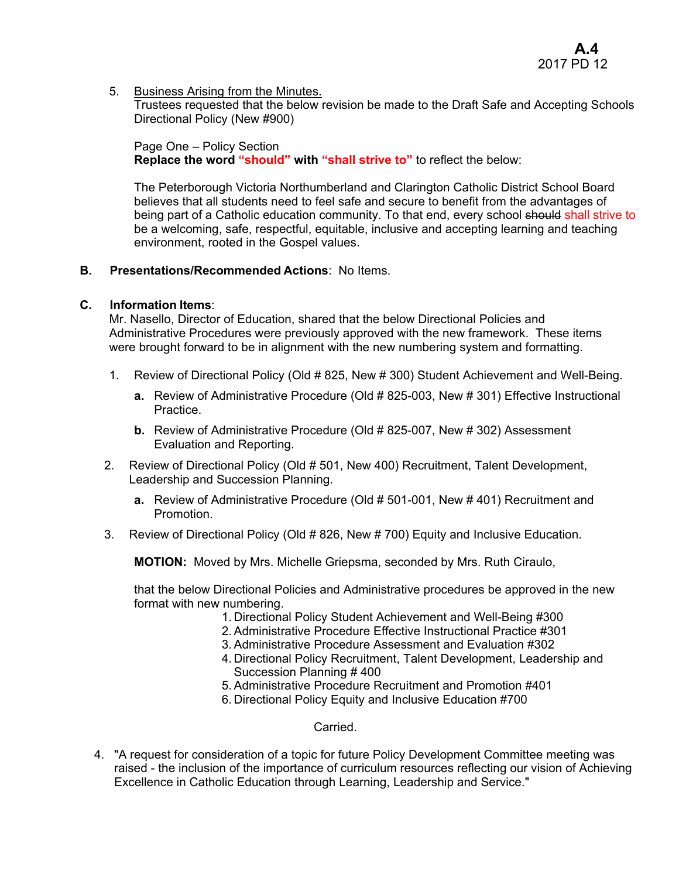5. Business Arising from the Minutes.

Trustees requested that the below revision be made to the Draft Safe and Accepting Schools Directional Policy (New #900)

Page One – Policy Section **Replace the word "should" with "shall strive to"** to reflect the below:

The Peterborough Victoria Northumberland and Clarington Catholic District School Board believes that all students need to feel safe and secure to benefit from the advantages of being part of a Catholic education community. To that end, every school should shall strive to be a welcoming, safe, respectful, equitable, inclusive and accepting learning and teaching environment, rooted in the Gospel values.

## **B. Presentations/Recommended Actions**: No Items.

# **C. Information Items**:

Mr. Nasello, Director of Education, shared that the below Directional Policies and Administrative Procedures were previously approved with the new framework. These items were brought forward to be in alignment with the new numbering system and formatting.

- 1. Review of Directional Policy (Old # 825, New # 300) Student Achievement and Well-Being.
	- **a.** Review of Administrative Procedure (Old # 825-003, New # 301) Effective Instructional Practice.
	- **b.** Review of Administrative Procedure (Old # 825-007, New # 302) Assessment Evaluation and Reporting.
- 2. Review of Directional Policy (Old # 501, New 400) Recruitment, Talent Development, Leadership and Succession Planning.
	- **a.** Review of Administrative Procedure (Old # 501-001, New # 401) Recruitment and Promotion.
- 3. Review of Directional Policy (Old # 826, New # 700) Equity and Inclusive Education.

**MOTION:** Moved by Mrs. Michelle Griepsma, seconded by Mrs. Ruth Ciraulo,

that the below Directional Policies and Administrative procedures be approved in the new format with new numbering.

- 1. Directional Policy Student Achievement and Well-Being #300
- 2. Administrative Procedure Effective Instructional Practice #301
- 3. Administrative Procedure Assessment and Evaluation #302
- 4. Directional Policy Recruitment, Talent Development, Leadership and Succession Planning # 400
- 5. Administrative Procedure Recruitment and Promotion #401
- 6. Directional Policy Equity and Inclusive Education #700

Carried.

4. "A request for consideration of a topic for future Policy Development Committee meeting was raised - the inclusion of the importance of curriculum resources reflecting our vision of Achieving Excellence in Catholic Education through Learning, Leadership and Service."